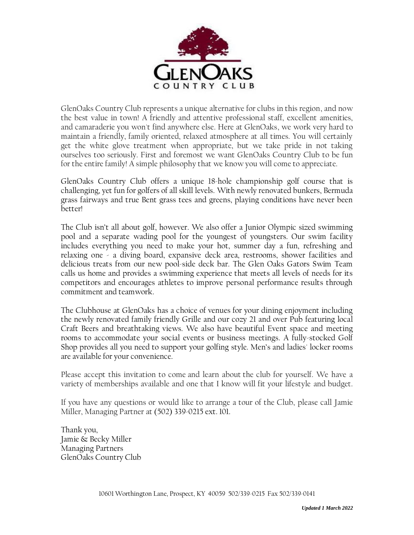

GlenOaks Country Club represents a unique alternative for clubs in this region, and now the best value in town! A friendly and attentive professional staff, excellent amenities, and camaraderie you won't find anywhere else. Here at GlenOaks, we work very hard to maintain a friendly, family oriented, relaxed atmosphere at all times. You will certainly get the white glove treatment when appropriate, but we take pride in not taking ourselves too seriously. First and foremost we want GlenOaks Country Club to be fun for the entire family! A simple philosophy that we know you will come to appreciate.

GlenOaks Country Club offers a unique 18-hole championship golf course that is challenging, yet fun for golfers of all skill levels. With newly renovated bunkers, Bermuda grass fairways and true Bent grass tees and greens, playing conditions have never been better!

The Club isn't all about golf, however. We also offer a Junior Olympic sized swimming pool and a separate wading pool for the youngest of youngsters. Our swim facility includes everything you need to make your hot, summer day a fun, refreshing and relaxing one - a diving board, expansive deck area, restrooms, shower facilities and delicious treats from our new pool-side deck bar. The Glen Oaks Gators Swim Team calls us home and provides a swimming experience that meets all levels of needs for its competitors and encourages athletes to improve personal performance results through commitment and teamwork.

The Clubhouse at GlenOaks has a choice of venues for your dining enjoyment including the newly renovated family friendly Grille and our cozy 21 and over Pub featuring local Craft Beers and breathtaking views. We also have beautiful Event space and meeting rooms to accommodate your social events or business meetings. A fully-stocked Golf Shop provides all you need to support your golfing style. Men's and ladies' locker rooms are available for your convenience.

Please accept this invitation to come and learn about the club for yourself. We have a variety of memberships available and one that I know will fit your lifestyle and budget.

If you have any questions or would like to arrange a tour of the Club, please call Jamie Miller, Managing Partner at (502) 339-0215 ext. 101.

Thank you, Jamie & Becky Miller Managing Partners GlenOaks Country Club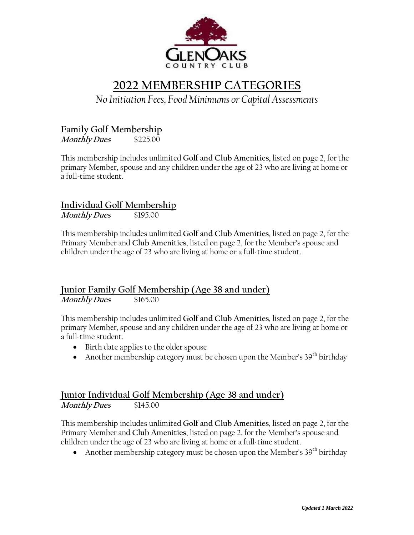

# **2022 MEMBERSHIP CATEGORIES**

### *No Initiation Fees, Food Minimums or Capital Assessments*

#### **Family Golf Membership**

**Monthly Dues** \$225.00

This membership includes unlimited **Golf and Club Amenities,** listed on page 2, for the primary Member, spouse and any children under the age of 23 who are living at home or a full-time student.

## **Individual Golf Membership**

**Monthly Dues** \$195.00

This membership includes unlimited **Golf and Club Amenities**, listed on page 2, for the Primary Member and **Club Amenities**, listed on page 2, for the Member's spouse and children under the age of 23 who are living at home or a full-time student.

#### **Junior Family Golf Membership (Age 38 and under) Monthly Dues** \$165.00

This membership includes unlimited **Golf and Club Amenities**, listed on page 2, for the primary Member, spouse and any children under the age of 23 who are living at home or a full-time student.

- Birth date applies to the older spouse
- Another membership category must be chosen upon the Member's  $39<sup>th</sup>$  birthday

#### **Junior Individual Golf Membership (Age 38 and under) Monthly Dues** \$145.00

This membership includes unlimited **Golf and Club Amenities**, listed on page 2, for the Primary Member and **Club Amenities**, listed on page 2, for the Member's spouse and children under the age of 23 who are living at home or a full-time student.

• Another membership category must be chosen upon the Member's  $39<sup>th</sup>$  birthday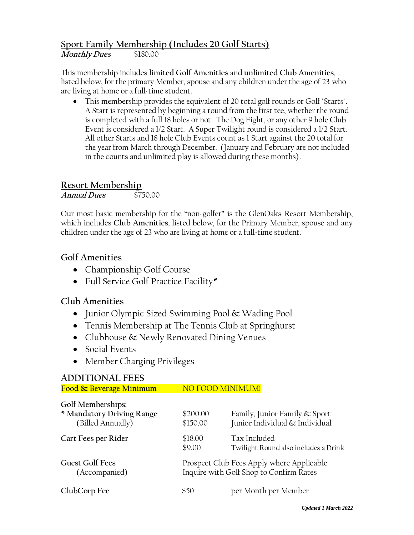#### **Sport Family Membership (Includes 20 Golf Starts)**

**Monthly Dues** \$180.00

This membership includes **limited Golf Amenities** and **unlimited Club Amenities**, listed below, for the primary Member, spouse and any children under the age of 23 who are living at home or a full-time student.

 This membership provides the equivalent of 20 total golf rounds or Golf "Starts". A Start is represented by beginning a round from the first tee, whether the round is completed with a full 18 holes or not. The Dog Fight, or any other 9 hole Club Event is considered a 1/2 Start. A Super Twilight round is considered a 1/2 Start. All other Starts and 18 hole Club Events count as 1 Start against the 20 total for the year from March through December. (January and February are not included in the counts and unlimited play is allowed during these months).

#### **Resort Membership**

**Annual Dues** \$750.00

Our most basic membership for the "non-golfer" is the GlenOaks Resort Membership, which includes **Club Amenities**, listed below, for the Primary Member, spouse and any children under the age of 23 who are living at home or a full-time student.

#### **Golf Amenities**

- Championship Golf Course
- Full Service Golf Practice Facility\*

#### **Club Amenities**

- Junior Olympic Sized Swimming Pool & Wading Pool
- Tennis Membership at The Tennis Club at Springhurst
- Clubhouse & Newly Renovated Dining Venues
- Social Events
- Member Charging Privileges

## **ADDITIONAL FEES** Food & Beverage Minimum NO FOOD MINIMUM! **Golf Memberships: \* Mandatory Driving Range** \$200.00 Family, Junior Family & Sport (Billed Annually) \$150.00 Junior Individual & Individual **Cart Fees per Rider** \$18.00 Tax Included \$9.00 Twilight Round also includes a Drink Guest Golf Fees **Figure 2018** Prospect Club Fees Apply where Applicable (Accompanied) Inquire with Golf Shop to Confirm Rates **ClubCorp Fee** 550 per Month per Member